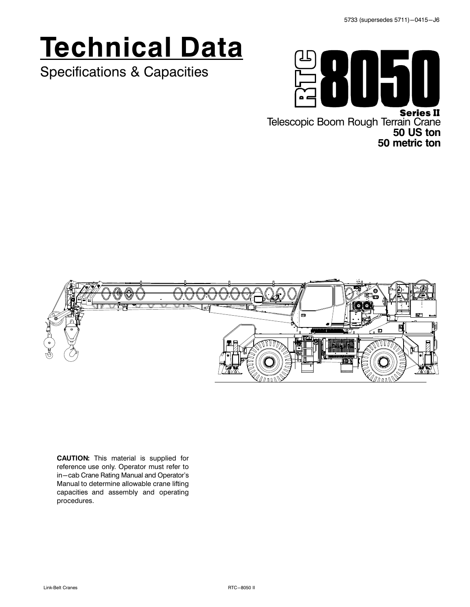# **Technical Data**

Specifications & Capacities





**CAUTION:** This material is supplied for reference use only. Operator must refer to in-cab Crane Rating Manual and Operator's Manual to determine allowable crane lifting capacities and assembly and operating procedures.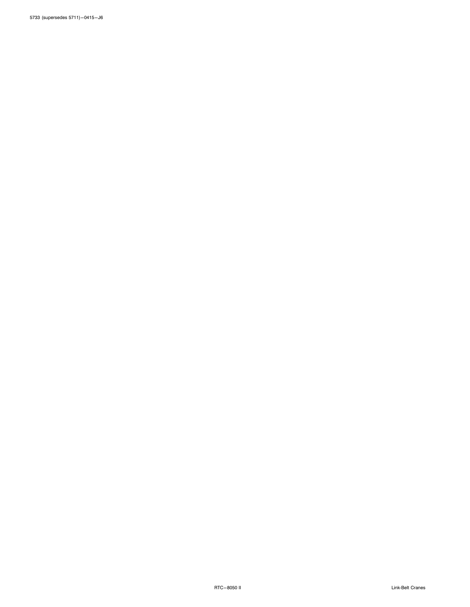5733 (supersedes 5711)-0415-J6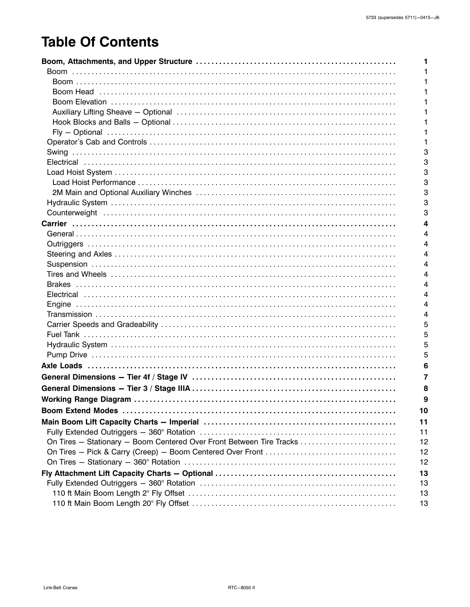# **Table Of Contents**

| 1<br>1<br>1<br>1<br>1<br>1<br>1<br>1<br>3<br>3<br>3<br>3<br>3<br>3<br>3<br>4<br>4<br>4<br>4<br>4<br>4<br>4<br>4<br>4<br>4<br>5<br>5<br>5<br>5<br>6<br>7<br>8<br>a<br>10<br>11<br>11<br>On Tires - Stationary - Boom Centered Over Front Between Tire Tracks<br>12<br>12<br>12<br>13<br>13<br>13 | 1  |
|-------------------------------------------------------------------------------------------------------------------------------------------------------------------------------------------------------------------------------------------------------------------------------------------------|----|
|                                                                                                                                                                                                                                                                                                 |    |
|                                                                                                                                                                                                                                                                                                 |    |
|                                                                                                                                                                                                                                                                                                 |    |
|                                                                                                                                                                                                                                                                                                 |    |
|                                                                                                                                                                                                                                                                                                 |    |
|                                                                                                                                                                                                                                                                                                 |    |
|                                                                                                                                                                                                                                                                                                 |    |
|                                                                                                                                                                                                                                                                                                 |    |
|                                                                                                                                                                                                                                                                                                 |    |
|                                                                                                                                                                                                                                                                                                 |    |
|                                                                                                                                                                                                                                                                                                 |    |
|                                                                                                                                                                                                                                                                                                 |    |
|                                                                                                                                                                                                                                                                                                 |    |
|                                                                                                                                                                                                                                                                                                 |    |
|                                                                                                                                                                                                                                                                                                 |    |
|                                                                                                                                                                                                                                                                                                 |    |
|                                                                                                                                                                                                                                                                                                 |    |
|                                                                                                                                                                                                                                                                                                 |    |
|                                                                                                                                                                                                                                                                                                 |    |
|                                                                                                                                                                                                                                                                                                 |    |
|                                                                                                                                                                                                                                                                                                 |    |
|                                                                                                                                                                                                                                                                                                 |    |
|                                                                                                                                                                                                                                                                                                 |    |
|                                                                                                                                                                                                                                                                                                 |    |
|                                                                                                                                                                                                                                                                                                 |    |
|                                                                                                                                                                                                                                                                                                 |    |
|                                                                                                                                                                                                                                                                                                 |    |
|                                                                                                                                                                                                                                                                                                 |    |
|                                                                                                                                                                                                                                                                                                 |    |
|                                                                                                                                                                                                                                                                                                 |    |
|                                                                                                                                                                                                                                                                                                 |    |
|                                                                                                                                                                                                                                                                                                 |    |
|                                                                                                                                                                                                                                                                                                 |    |
|                                                                                                                                                                                                                                                                                                 |    |
|                                                                                                                                                                                                                                                                                                 |    |
|                                                                                                                                                                                                                                                                                                 |    |
|                                                                                                                                                                                                                                                                                                 |    |
|                                                                                                                                                                                                                                                                                                 |    |
|                                                                                                                                                                                                                                                                                                 |    |
|                                                                                                                                                                                                                                                                                                 |    |
|                                                                                                                                                                                                                                                                                                 |    |
|                                                                                                                                                                                                                                                                                                 |    |
|                                                                                                                                                                                                                                                                                                 | 13 |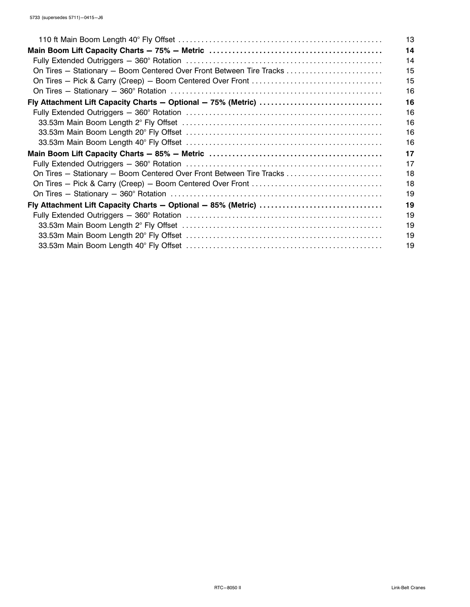|                                                               | 13 |
|---------------------------------------------------------------|----|
|                                                               | 14 |
|                                                               | 14 |
|                                                               | 15 |
|                                                               | 15 |
|                                                               | 16 |
| Fly Attachment Lift Capacity Charts - Optional - 75% (Metric) | 16 |
|                                                               | 16 |
|                                                               | 16 |
|                                                               | 16 |
|                                                               | 16 |
|                                                               | 17 |
|                                                               | 17 |
|                                                               | 18 |
|                                                               | 18 |
|                                                               | 19 |
|                                                               | 19 |
|                                                               | 19 |
|                                                               | 19 |
|                                                               | 19 |
|                                                               | 19 |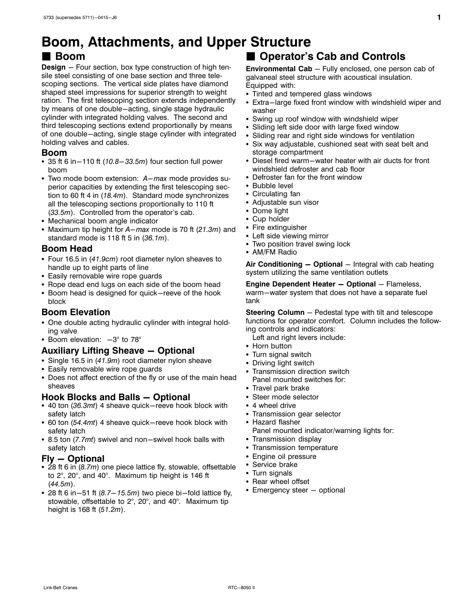# <span id="page-4-0"></span>**Boom, Attachments, and Upper Structure**

#### - **Boom**

**Design** - Four section, box type construction of high tensile steel consisting of one base section and three telescoping sections. The vertical side plates have diamond shaped steel impressions for superior strength to weight ration. The first telescoping section extends independently by means of one double-acting, single stage hydraulic cylinder with integrated holding valves. The second and third telescoping sections extend proportionally by means of one double-acting, single stage cylinder with integrated holding valves and cables.

#### **Boom**

- 35 ft 6 in-110 ft (*10.8-33.5m*) four section full power boom
- Two mode boom extension: *A-max* mode provides superior capacities by extending the first telescoping section to 60 ft 4 in (*18.4m*). Standard mode synchronizes all the telescoping sections proportionally to 110 ft (*33.5m*). Controlled from the operator's cab.
- Mechanical boom angle indicator
- Maximum tip height for *A-max* mode is 70 ft (*21.3m*) and standard mode is 118 ft 5 in (*36.1m*).

#### **Boom Head**

- Four 16.5 in (*41.9cm*) root diameter nylon sheaves to handle up to eight parts of line
- Easily removable wire rope guards
- Rope dead end lugs on each side of the boom head
- Boom head is designed for quick-reeve of the hook block

#### **Boom Elevation**

- One double acting hydraulic cylinder with integral holding valve
- Boom elevation: -3° to 78°

#### **Auxiliary Lifting Sheave - Optional**

- Single 16.5 in (*41.9m*) root diameter nylon sheave
- Easily removable wire rope guards
- Does not affect erection of the fly or use of the main head sheaves

#### **Hook Blocks and Balls - Optional**

- 40 ton (*36.3mt*) 4 sheave quick-reeve hook block with safety latch
- 60 ton (*54.4mt*) 4 sheave quick-reeve hook block with safety latch
- 8.5 ton (*7.7mt*) swivel and non-swivel hook balls with safety latch

#### **Fly - Optional**

- 28 ft 6 in  $(8.7m)$  one piece lattice fly, stowable, offsettable<br>to 2° 20° and 40° Maximum tip height is 146 ft to 2°, 20°, and 40°. Maximum tip height is 146 ft (*44.5m*).
- 28 ft 6 in-51 ft  $(8.7-15.5m)$  two piece bi-fold lattice fly,<br>stowable, offsettable to 2° 20° and 40°. Maximum tip stowable, offsettable to 2°, 20°, and 40°. Maximum tip height is 168 ft (*51.2m*).

### ■ Operator's Cab and Controls

**Environmental Cab** - Fully enclosed, one person cab of galvaneal steel structure with acoustical insulation. Equipped with:

- Tinted and tempered glass windows
- - Extra-large fixed front window with windshield wiper and washer
- -Swing up roof window with windshield wiper
- -Sliding left side door with large fixed window
- -Sliding rear and right side windows for ventilation
- $\bullet$  Six way adjustable, cushioned seat with seat belt and storage compartment
- Diesel fired warm-water heater with air ducts for front windshield defroster and cab floor
- Defroster fan for the front window
- Bubble level
- Circulating fan
- Adjustable sun visor
- Dome light
- Cup holder
- Fire extinguisher
- Left side viewing mirror
- Two position travel swing lock
- AM/FM Radio

Air Conditioning - Optional - Integral with cab heating system utilizing the same ventilation outlets

**Engine Dependent Heater - Optional** - Flameless, warm-water system that does not have a separate fuel tank

**Steering Column** - Pedestal type with tilt and telescope functions for operator comfort. Column includes the following controls and indicators:

Left and right levers include:

- Horn button
- Turn signal switch
- Driving light switch
- Transmission direction switch Panel mounted switches for:
- Travel park brake
- Steer mode selector
- 4 wheel drive
- Transmission gear selector
- Hazard flasher Panel mounted indicator/warning lights for:
- Transmission display
- Transmission temperature
- Engine oil pressure
- Service brake
- Turn signals
- Rear wheel offset
- Emergency steer optional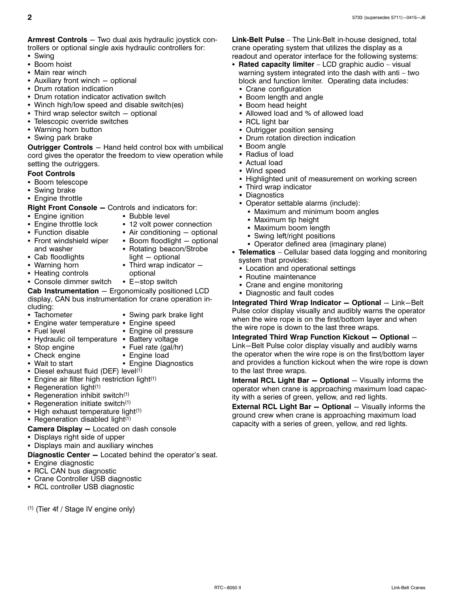**Armrest Controls** - Two dual axis hydraulic joystick controllers or optional single axis hydraulic controllers for:

- Swing
- Boom hoist
- -Main rear winch
- Auxiliary front winch optional
- Drum rotation indication
- -Drum rotation indicator activation switch
- Winch high/low speed and disable switch(es)
- Third wrap selector switch optional
- Telescopic override switches
- Warning horn button
- Swing park brake

**Outrigger Controls** - Hand held control box with umbilical cord gives the operator the freedom to view operation while setting the outriggers.

#### **Foot Controls**

- Boom telescope
- Swing brake
- Engine throttle

**Right Front Console - Controls and indicators for:** 

- Engine ignition •
- Engine throttle lock • 12 volt power connection
- Function disable •
- Front windshield wiper and washer
- Rotating beacon/Strobe • Cab floodlights light - optional • Third wrap indicator  $-$
- Warning horn •
- Heating controls **beam** optional
- Console dimmer switch • E-stop switch

**Cab Instrumentation** - Ergonomically positioned LCD display, CAN bus instrumentation for crane operation including:

- Tachometer •
- Swing park brake light • Engine water temperature • Engine speed
- Fuel level -
	- Engine oil pressure
- -• Hydraulic oil temperature • Battery voltage
- Stop engine • Fuel rate (gal/hr)
	- Engine load
- Check engine • Wait to start •
- Engine Diagnostics • Diesel exhaust fluid (DEF) level<sup>(1)</sup>
- Engine air filter high restriction light(1)
- Regeneration light<sup>(1)</sup>
- Regeneration inhibit switch<sup>(1)</sup>
- Regeneration initiate switch<sup>(1)</sup>
- High exhaust temperature light<sup>(1)</sup>
- Regeneration disabled light $(i)$
- **Camera Display Located on dash console**
- Displays right side of upper
- Displays main and auxiliary winches
- **Diagnostic Center Located behind the operator's seat.**
- Engine diagnostic
- RCL CAN bus diagnostic
- Crane Controller USB diagnostic
- RCL controller USB diagnostic

(1) (Tier 4f / Stage IV engine only)

**Link-Belt Pulse** – The Link-Belt in-house designed, total crane operating system that utilizes the display as a readout and operator interface for the following systems:

- **Rated capacity limiter** LCD graphic audio visual warning system integrated into the dash with anti – two block and function limiter. Operating data includes:
	- Crane configuration
	- Boom length and angle
	- Boom head height
	- Allowed load and % of allowed load
	- RCL light bar
	- Outrigger position sensing
	- Drum rotation direction indication
	- Boom angle
	- Radius of load
	- Actual load
	- Wind speed
	- Highlighted unit of measurement on working screen
	- Third wrap indicator
	- Diagnostics
	- Operator settable alarms (include):
		- Maximum and minimum boom angles
		- Maximum tip height
		- Maximum boom length
		- Swing left/right positions
		- Operator defined area (imaginary plane)
- **Telematics** Cellular based data logging and monitoring system that provides:
	- Location and operational settings
	- Routine maintenance
	- Crane and engine monitoring
	- Diagnostic and fault codes

**Integrated Third Wrap Indicator - Optional** - Link-Belt Pulse color display visually and audibly warns the operator when the wire rope is on the first/bottom layer and when the wire rope is down to the last three wraps.

**Integrated Third Wrap Function Kickout - Optional -**Link-Belt Pulse color display visually and audibly warns the operator when the wire rope is on the first/bottom layer and provides a function kickout when the wire rope is down to the last three wraps.

**Internal RCL Light Bar - Optional** - Visually informs the operator when crane is approaching maximum load capacity with a series of green, yellow, and red lights.

**External RCL Light Bar - Optional** - Visually informs the ground crew when crane is approaching maximum load capacity with a series of green, yellow, and red lights.

- Bubble level
- $\bullet$  Air conditioning  $-$  optional

 $\bullet$  Boom floodlight  $-$  optional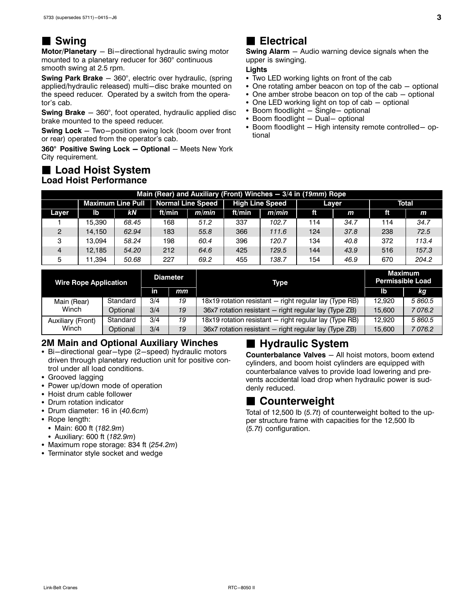### <span id="page-6-0"></span>■ Swing

**Motor/Planetary** - Bi-directional hydraulic swing motor mounted to a planetary reducer for 360° continuous smooth swing at 2.5 rpm.

**Swing Park Brake** - 360°, electric over hydraulic, (spring applied/hydraulic released) multi-disc brake mounted on the speed reducer. Operated by a switch from the operator's cab.

**Swing Brake** – 360°, foot operated, hydraulic applied disc brake mounted to the speed reducer.

**Swing Lock** - Two-position swing lock (boom over front or rear) operated from the operator's cab.

**360° Positive Swing Lock - Optional** - Meets New York City requirement.

### - **Electrical**

**Swing Alarm** - Audio warning device signals when the upper is swinging.

#### **Lights**

- Two LED working lights on front of the cab
- One rotating amber beacon on top of the cab optional
- One amber strobe beacon on top of the cab optional
- One LED working light on top of cab optional
- $\bullet$ Boom floodlight - Single- optional
- $\bullet$ Boom floodlight  $-$  Dual $-$  optional
- Boom floodlight High intensity remote controlled- optional

| City requirement. |                          |  |
|-------------------|--------------------------|--|
|                   | <b>Load Hoist System</b> |  |

### **Load Hoist Performance**

| Main (Rear) and Auxiliary (Front) Winches $-3/4$ in (19mm) Rope |                          |       |                          |       |                        |       |       |      |       |       |  |
|-----------------------------------------------------------------|--------------------------|-------|--------------------------|-------|------------------------|-------|-------|------|-------|-------|--|
|                                                                 | <b>Maximum Line Pull</b> |       | <b>Normal Line Speed</b> |       | <b>High Line Speed</b> |       | Layer |      | Total |       |  |
| Layer                                                           | lb                       | kΝ    | ft/min                   | m/min | ft/min                 | m/min | ft.   | m    | ft    | m     |  |
|                                                                 | 15.390                   | 68.45 | 168                      | 51.2  | 337                    | 102.7 | 114   | 34.7 | 114   | 34.7  |  |
| 2                                                               | 14.150                   | 62.94 | 183                      | 55.8  | 366                    | 111.6 | 124   | 37.8 | 238   | 72.5  |  |
| 3                                                               | 13.094                   | 58.24 | 198                      | 60.4  | 396                    | 120.7 | 134   | 40.8 | 372   | 113.4 |  |
| 4                                                               | 12.185                   | 54.20 | 212                      | 64.6  | 425                    | 129.5 | 144   | 43.9 | 516   | 157.3 |  |
| 5                                                               | 1,394                    | 50.68 | 227                      | 69.2  | 455                    | 138.7 | 154   | 46.9 | 670   | 204.2 |  |
|                                                                 |                          |       |                          |       |                        |       |       |      |       |       |  |

| <b>Wire Rope Application</b> |          |     | <b>Diameter</b> | <b>Type</b>                                            | Maximum<br><b>Permissible Load</b> |        |  |
|------------------------------|----------|-----|-----------------|--------------------------------------------------------|------------------------------------|--------|--|
|                              |          | in  | mm              |                                                        | Ib                                 | kg     |  |
| Main (Rear)                  | Standard | 3/4 | 19              | 18x19 rotation resistant - right regular lay (Type RB) | 12.920                             | 5860.5 |  |
| Winch                        | Optional | 3/4 | 19              | 36x7 rotation resistant - right regular lay (Type ZB)  | 15.600                             | 7076.2 |  |
| Auxiliary (Front)            | Standard | 3/4 | 19              | 18x19 rotation resistant - right regular lay (Type RB) | 12.920                             | 5860.5 |  |
| Winch                        | Optional | 3/4 | 19              | 36x7 rotation resistant - right regular lay (Type ZB)  | 15,600                             | 7076.2 |  |

#### **2M Main and Optional Auxiliary Winches**

- Bi-directional gear-type (2-speed) hydraulic motors driven through planetary reduction unit for positive control under all load conditions.
- Grooved lagging
- Power up/down mode of operation
- Hoist drum cable follower
- Drum rotation indicator
- Drum diameter: 16 in (*40.6cm*)
- Rope length:
	- Main: 600 ft (*182.9m*)
	- Auxiliary: 600 ft (*182.9m*)
- Maximum rope storage: 834 ft (*254.2m*)
- Terminator style socket and wedge

### $\blacksquare$  **Hydraulic System**

**Counterbalance Valves** - All hoist motors, boom extend cylinders, and boom hoist cylinders are equipped with counterbalance valves to provide load lowering and prevents accidental load drop when hydraulic power is suddenly reduced.

#### **E** Counterweight

Total of 12,500 lb (*5.7t*) of counterweight bolted to the upper structure frame with capacities for the 12,500 lb (*5.7t*) configuration.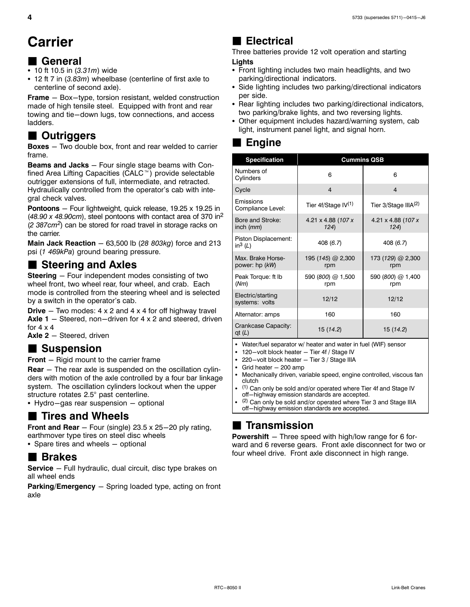# <span id="page-7-0"></span>**Carrier**

# General<br>• 10 ft 10.5 in (3.

10 ft 10.5 in (*3.31m*) wide

- 12 ft 7 in (*3.83m*) wheelbase (centerline of first axle to centerline of second axle).

**Frame** - Box-type, torsion resistant, welded construction made of high tensile steel. Equipped with front and rear towing and tie-down lugs, tow connections, and access ladders.

### $\blacksquare$  Outriggers

**Boxes** - Two double box, front and rear welded to carrier frame.

**Beams and Jacks** - Four single stage beams with Confined Area Lifting Capacities (CALC<sup> $M$ </sup>) provide selectable outrigger extensions of full, intermediate, and retracted. Hydraulically controlled from the operator's cab with integral check valves.

**Pontoons** - Four lightweight, quick release, 19.25 x 19.25 in (*48.90 x 48.90cm*), steel pontoons with contact area of 370 in2 (*2 387cm2*) can be stored for road travel in storage racks on the carrier.

**Main Jack Reaction** - 63,500 lb (*28 803kg*) force and 213 psi (*1 469kPa*) ground bearing pressure.

### **E** Steering and Axles

**Steering** – Four independent modes consisting of two wheel front, two wheel rear, four wheel, and crab. Each mode is controlled from the steering wheel and is selected by a switch in the operator's cab.

**Drive** – Two modes: 4 x 2 and 4 x 4 for off highway travel **Axle 1**  $-$  Steered, non-driven for 4  $\times$  2 and steered, driven for  $4 \times 4$ 

Axle 2 - Steered, driven

### $\blacksquare$  Suspension

**Front** – Rigid mount to the carrier frame

**Rear** - The rear axle is suspended on the oscillation cylinders with motion of the axle controlled by a four bar linkage system. The oscillation cylinders lockout when the upper structure rotates 2.5° past centerline.

• Hydro-gas rear suspension - optional

### $\blacksquare$  **Tires and Wheels**

**Front and Rear** - Four (single) 23.5 x 25-20 ply rating, earthmover type tires on steel disc wheels • Spare tires and wheels - optional

#### - **Brakes**

**Service** - Full hydraulic, dual circuit, disc type brakes on all wheel ends

**Parking/Emergency** – Spring loaded type, acting on front axle

#### - **Electrical**

Three batteries provide 12 volt operation and starting **Lights**

- Front lighting includes two main headlights, and two parking/directional indicators.
- Side lighting includes two parking/directional indicators per side.
- Rear lighting includes two parking/directional indicators, two parking/brake lights, and two reversing lights.
- Other equipment includes hazard/warning system, cab light, instrument panel light, and signal horn.

### **Engine**

| <b>Specification</b>                          | <b>Cummins QSB</b>         |                            |
|-----------------------------------------------|----------------------------|----------------------------|
| Numbers of<br>Cylinders                       | 6                          | 6                          |
| Cycle                                         | $\overline{\mathbf{4}}$    | 4                          |
| Emissions<br>Compliance Level:                | Tier 4f/Stage $IV(1)$      | Tier $3$ /Stage IIIA $(2)$ |
| Bore and Stroke:<br>inch $(mm)$               | 4.21 x 4.88 (107 x<br>124) | 4.21 x 4.88 (107 x<br>124) |
| Piston Displacement:<br>in <sup>3</sup> $(L)$ | 408 (6.7)                  | 408 (6.7)                  |
| Max. Brake Horse-<br>power: hp (kW)           | 195 (145) @ 2,300<br>rpm   | 173 $(129)$ @ 2,300<br>rpm |
| Peak Torque: ft Ib<br>(Mm)                    | 590 (800) @ 1,500<br>rpm   | 590 (800) @ 1,400<br>rpm   |
| Electric/starting<br>systems: volts           | 12/12                      | 12/12                      |
| Alternator: amps                              | 160                        | 160                        |
| Crankcase Capacity:<br>qt $(L)$               | 15 (14.2)                  | 15 (14.2)                  |

- Water/fuel separator w/ heater and water in fuel (WIF) sensor

-120-volt block heater - Tier 4f / Stage IV

- - $220$ -volt block heater - Tier 3 / Stage IIIA
- -Grid heater  $-200$  amp
- - Mechanically driven, variable speed, engine controlled, viscous fan clutch
- - (1) Can only be sold and/or operated where Tier 4f and Stage IV off-highway emission standards are accepted.
- - (2) Can only be sold and/or operated where Tier 3 and Stage IIIA off-highway emission standards are accepted.

### - **Transmission**

**Powershift** - Three speed with high/low range for 6 forward and 6 reverse gears. Front axle disconnect for two or four wheel drive. Front axle disconnect in high range.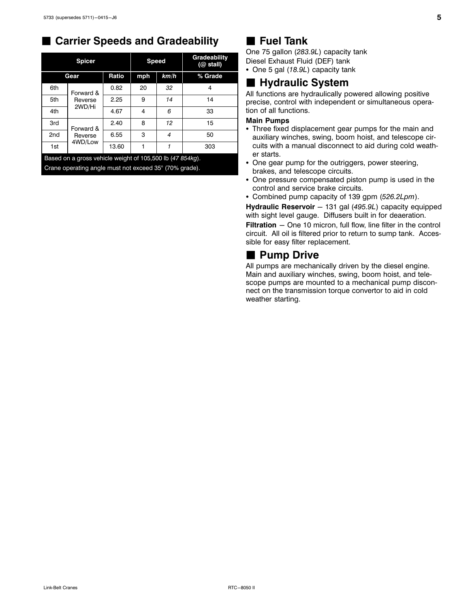### <span id="page-8-0"></span>■ Carrier Speeds and Gradeability

| <b>Speed</b>                                                                                                        | Gradeability<br>(@ stall) |  |  |  |  |  |  |  |
|---------------------------------------------------------------------------------------------------------------------|---------------------------|--|--|--|--|--|--|--|
| km/h                                                                                                                | % Grade                   |  |  |  |  |  |  |  |
| 32                                                                                                                  | 4                         |  |  |  |  |  |  |  |
| 14                                                                                                                  | 14                        |  |  |  |  |  |  |  |
| 6                                                                                                                   | 33                        |  |  |  |  |  |  |  |
| 12                                                                                                                  | 15                        |  |  |  |  |  |  |  |
| 4                                                                                                                   | 50                        |  |  |  |  |  |  |  |
| 1                                                                                                                   | 303                       |  |  |  |  |  |  |  |
| Based on a gross vehicle weight of 105,500 lb (47 854kg).<br>Crane operating angle must not exceed 35° (70% grade). |                           |  |  |  |  |  |  |  |
|                                                                                                                     |                           |  |  |  |  |  |  |  |

#### - **Fuel Tank**

One 75 gallon (*283.9L*) capacity tank Diesel Exhaust Fluid (DEF) tank

- One 5 gal (*18.9L*) capacity tank

#### $\blacksquare$  **Hydraulic System**

All functions are hydraulically powered allowing positive precise, control with independent or simultaneous operation of all functions.

#### **Main Pumps**

- Three fixed displacement gear pumps for the main and auxiliary winches, swing, boom hoist, and telescope circuits with a manual disconnect to aid during cold weather starts.
- One gear pump for the outriggers, power steering, brakes, and telescope circuits.
- One pressure compensated piston pump is used in the control and service brake circuits.
- Combined pump capacity of 139 gpm (*526.2Lpm*).

Hydraulic Reservoir - 131 gal (495.9L) capacity equipped with sight level gauge. Diffusers built in for deaeration.

**Filtration** - One 10 micron, full flow, line filter in the control circuit. All oil is filtered prior to return to sump tank. Accessible for easy filter replacement.

#### **Pump Drive**

All pumps are mechanically driven by the diesel engine. Main and auxiliary winches, swing, boom hoist, and telescope pumps are mounted to a mechanical pump disconnect on the transmission torque convertor to aid in cold weather starting.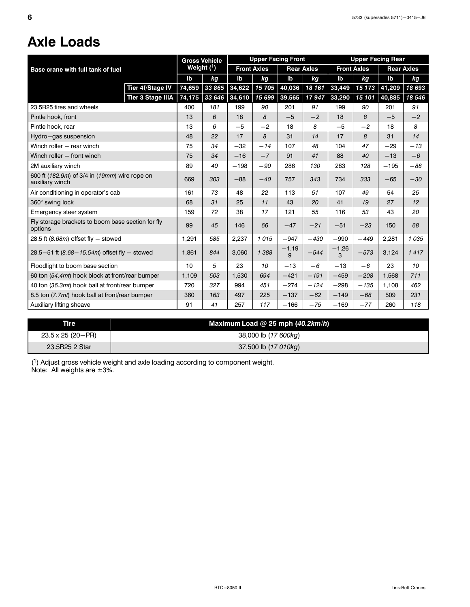# <span id="page-9-0"></span>**Axle Loads**

| Base crane with full tank of fuel                                |        | <b>Gross Vehicle</b> |                    | <b>Upper Facing Front</b> |                         |        |                    | <b>Upper Facing Rear</b> |                   |        |  |
|------------------------------------------------------------------|--------|----------------------|--------------------|---------------------------|-------------------------|--------|--------------------|--------------------------|-------------------|--------|--|
|                                                                  |        | Weight $(1)$         | <b>Front Axles</b> |                           | <b>Rear Axles</b>       |        | <b>Front Axles</b> |                          | <b>Rear Axles</b> |        |  |
|                                                                  | Ib     | kg                   | Ib                 | kg                        | lb                      | kg     | lb                 | kg                       | Ib                | kg     |  |
| Tier 4f/Stage IV                                                 | 74,659 | 33 865               | 34,622 15 705      |                           | 40,036                  | 18 161 | 33,449             | 15 173                   | 41,209            | 18 693 |  |
| <b>Tier 3 Stage IIIA</b>                                         | 74,175 | 33 646               | 34,610 15 699      |                           | 39,565                  | 17947  | 33,290             | 15 101                   | 40,885            | 18 546 |  |
| 23.5R25 tires and wheels                                         | 400    | 181                  | 199                | 90                        | 201                     | 91     | 199                | 90                       | 201               | 91     |  |
| Pintle hook, front                                               | 13     | 6                    | 18                 | 8                         | $-5$                    | $-2$   | 18                 | 8                        | $-5$              | $-2$   |  |
| Pintle hook, rear                                                | 13     | 6                    | $-5$               | $-2$                      | 18                      | 8      | $-5$               | $-2$                     | 18                | 8      |  |
| Hydro-gas suspension                                             | 48     | 22                   | 17                 | 8                         | 31                      | 14     | 17                 | 8                        | 31                | 14     |  |
| Winch roller - rear winch                                        | 75     | 34                   | $-32$              | $-14$                     | 107                     | 48     | 104                | 47                       | $-29$             | $-13$  |  |
| Winch roller - front winch                                       | 75     | 34                   | $-16$              | $-7$                      | 91                      | 41     | 88                 | 40                       | $-13$             | $-6$   |  |
| 2M auxiliary winch                                               | 89     | 40                   | $-198$             | $-90$                     | 286                     | 130    | 283                | 128                      | $-195$            | $-88$  |  |
| 600 ft (182.9m) of 3/4 in (19mm) wire rope on<br>auxiliary winch | 669    | 303                  | $-88$              | $-40$                     | 757                     | 343    | 734                | 333                      | $-65$             | $-30$  |  |
| Air conditioning in operator's cab                               | 161    | 73                   | 48                 | 22                        | 113                     | 51     | 107                | 49                       | 54                | 25     |  |
| 360° swing lock                                                  | 68     | 31                   | 25                 | 11                        | 43                      | 20     | 41                 | 19                       | 27                | 12     |  |
| Emergency steer system                                           | 159    | 72                   | 38                 | 17                        | 121                     | 55     | 116                | 53                       | 43                | 20     |  |
| Fly storage brackets to boom base section for fly<br>options     | 99     | 45                   | 146                | 66                        | $-47$                   | $-21$  | $-51$              | $-23$                    | 150               | 68     |  |
| 28.5 ft $(8.68m)$ offset fly - stowed                            | 1,291  | 585                  | 2,237              | 1015                      | $-947$                  | $-430$ | $-990$             | $-449$                   | 2,281             | 1035   |  |
| 28.5-51 ft $(8.68 - 15.54m)$ offset fly - stowed                 | 1,861  | 844                  | 3,060              | 1388                      | $-1,19$<br>$\mathbf{Q}$ | $-544$ | $-1,26$<br>3       | $-573$                   | 3,124             | 1417   |  |
| Floodlight to boom base section                                  | 10     | 5                    | 23                 | 10                        | $-13$                   | $-6$   | $-13$              | $-6$                     | 23                | 10     |  |
| 60 ton (54.4mt) hook block at front/rear bumper                  | 1.109  | 503                  | 1,530              | 694                       | $-421$                  | $-191$ | $-459$             | $-208$                   | 1,568             | 711    |  |
| 40 ton (36.3mt) hook ball at front/rear bumper                   | 720    | 327                  | 994                | 451                       | $-274$                  | $-124$ | $-298$             | $-135$                   | 1,108             | 462    |  |
| 8.5 ton (7.7mt) hook ball at front/rear bumper                   | 360    | 163                  | 497                | 225                       | $-137$                  | $-62$  | $-149$             | $-68$                    | 509               | 231    |  |
| Auxiliary lifting sheave                                         | 91     | 41                   | 257                | 117                       | $-166$                  | $-75$  | $-169$             | $-77$                    | 260               | 118    |  |

| <b>Tire</b>       | Maximum Load $@$ 25 mph (40.2km/h) |
|-------------------|------------------------------------|
| 23.5 x 25 (20-PR) | 38,000 lb (17 600kg)               |
| 23.5R25 2 Star    | 37,500 lb (17 010kg)               |

(1) Adjust gross vehicle weight and axle loading according to component weight. Note: All weights are  $\pm 3\%$ .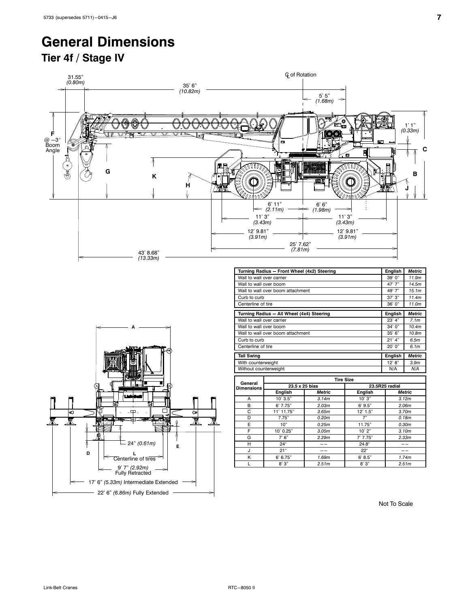### <span id="page-10-0"></span>**General Dimensions Tier 4f / Stage IV**



Not To Scale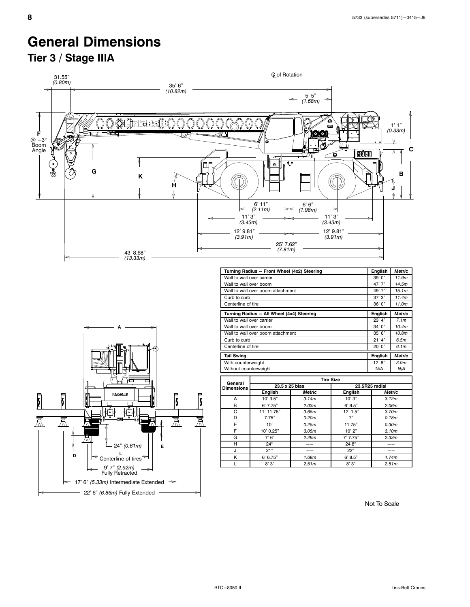# <span id="page-11-0"></span>**General Dimensions**

### **Tier 3 / Stage IIIA**



Not To Scale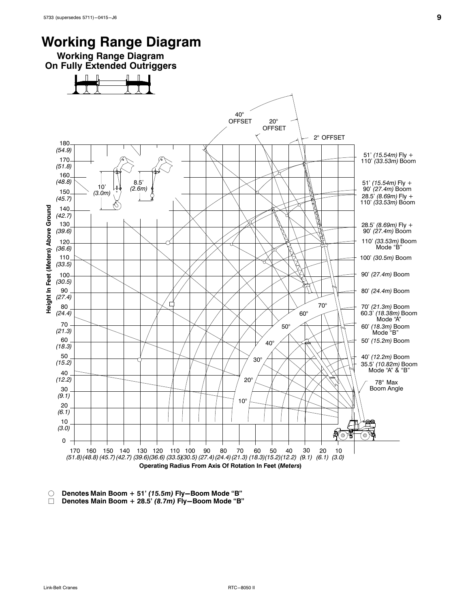### <span id="page-12-0"></span>**Working Range Diagram**

**Working Range Diagram**



 **Denotes Main Boom + 51'** *(15.5m)* **Fly-Boom Mode "B" Denotes Main Boom + 28.5'** *(8.7m)* **Fly-Boom Mode "B"**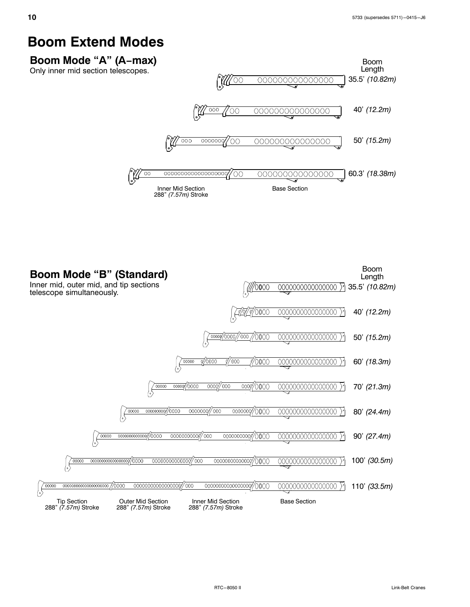# <span id="page-13-0"></span>**Boom Extend Modes**

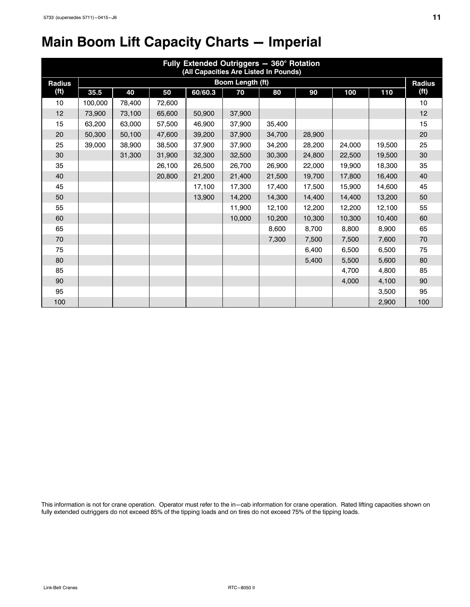# <span id="page-14-0"></span>**Main Boom Lift Capacity Charts - Imperial**

| Fully Extended Outriggers - 360° Rotation<br>(All Capacities Are Listed In Pounds) |                  |        |        |         |        |        |        |        |        |                   |
|------------------------------------------------------------------------------------|------------------|--------|--------|---------|--------|--------|--------|--------|--------|-------------------|
| <b>Radius</b>                                                                      | Boom Length (ft) |        |        |         |        |        |        |        |        | <b>Radius</b>     |
| (f <sup>t</sup> )                                                                  | 35.5             | 40     | 50     | 60/60.3 | 70     | 80     | 90     | 100    | 110    | (f <sup>t</sup> ) |
| 10                                                                                 | 100,000          | 78,400 | 72,600 |         |        |        |        |        |        | 10                |
| 12                                                                                 | 73.900           | 73,100 | 65,600 | 50,900  | 37,900 |        |        |        |        | 12                |
| 15                                                                                 | 63,200           | 63.000 | 57.500 | 46,900  | 37,900 | 35,400 |        |        |        | 15                |
| 20                                                                                 | 50,300           | 50,100 | 47,600 | 39,200  | 37,900 | 34,700 | 28,900 |        |        | 20                |
| 25                                                                                 | 39,000           | 38,900 | 38,500 | 37,900  | 37,900 | 34,200 | 28,200 | 24,000 | 19,500 | 25                |
| 30                                                                                 |                  | 31,300 | 31,900 | 32,300  | 32,500 | 30,300 | 24,800 | 22,500 | 19,500 | 30                |
| 35                                                                                 |                  |        | 26,100 | 26,500  | 26.700 | 26.900 | 22,000 | 19.900 | 18,300 | 35                |
| 40                                                                                 |                  |        | 20,800 | 21,200  | 21,400 | 21,500 | 19,700 | 17,800 | 16,400 | 40                |
| 45                                                                                 |                  |        |        | 17,100  | 17,300 | 17,400 | 17,500 | 15,900 | 14,600 | 45                |
| 50                                                                                 |                  |        |        | 13,900  | 14,200 | 14,300 | 14,400 | 14,400 | 13,200 | 50                |
| 55                                                                                 |                  |        |        |         | 11,900 | 12,100 | 12,200 | 12,200 | 12,100 | 55                |
| 60                                                                                 |                  |        |        |         | 10,000 | 10,200 | 10,300 | 10,300 | 10,400 | 60                |
| 65                                                                                 |                  |        |        |         |        | 8,600  | 8,700  | 8,800  | 8,900  | 65                |
| 70                                                                                 |                  |        |        |         |        | 7,300  | 7,500  | 7,500  | 7,600  | 70                |
| 75                                                                                 |                  |        |        |         |        |        | 6,400  | 6,500  | 6,500  | 75                |
| 80                                                                                 |                  |        |        |         |        |        | 5,400  | 5,500  | 5,600  | 80                |
| 85                                                                                 |                  |        |        |         |        |        |        | 4,700  | 4,800  | 85                |
| 90                                                                                 |                  |        |        |         |        |        |        | 4,000  | 4,100  | 90                |
| 95                                                                                 |                  |        |        |         |        |        |        |        | 3,500  | 95                |
| 100                                                                                |                  |        |        |         |        |        |        |        | 2,900  | 100               |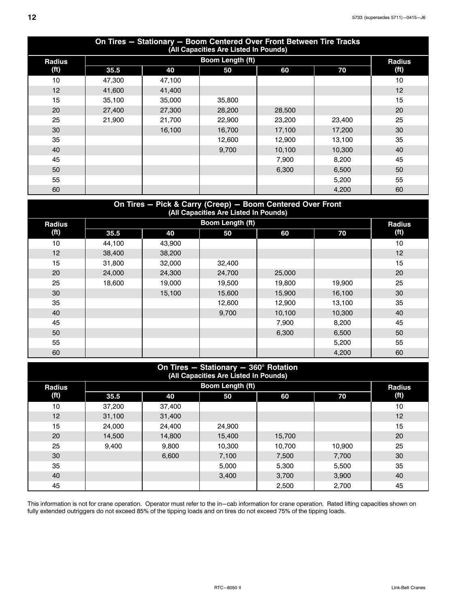<span id="page-15-0"></span>

| On Tires - Stationary - Boom Centered Over Front Between Tire Tracks<br>(All Capacities Are Listed In Pounds) |                  |        |        |        |        |                   |  |  |  |
|---------------------------------------------------------------------------------------------------------------|------------------|--------|--------|--------|--------|-------------------|--|--|--|
| <b>Radius</b>                                                                                                 | Boom Length (ft) |        |        |        |        |                   |  |  |  |
| (f <sup>t</sup> )                                                                                             | 35.5             | 40     | 50     | 60     | 70     | (f <sup>t</sup> ) |  |  |  |
| 10                                                                                                            | 47,300           | 47,100 |        |        |        | 10                |  |  |  |
| 12 <sup>2</sup>                                                                                               | 41,600           | 41,400 |        |        |        | 12 <sup>2</sup>   |  |  |  |
| 15                                                                                                            | 35,100           | 35,000 | 35,800 |        |        | 15                |  |  |  |
| 20                                                                                                            | 27,400           | 27,300 | 28,200 | 28,500 |        | 20                |  |  |  |
| 25                                                                                                            | 21,900           | 21,700 | 22,900 | 23,200 | 23,400 | 25                |  |  |  |
| 30                                                                                                            |                  | 16,100 | 16,700 | 17,100 | 17,200 | 30                |  |  |  |
| 35                                                                                                            |                  |        | 12,600 | 12,900 | 13,100 | 35                |  |  |  |
| 40                                                                                                            |                  |        | 9,700  | 10,100 | 10,300 | 40                |  |  |  |
| 45                                                                                                            |                  |        |        | 7,900  | 8,200  | 45                |  |  |  |
| 50                                                                                                            |                  |        |        | 6,300  | 6,500  | 50                |  |  |  |
| 55                                                                                                            |                  |        |        |        | 5,200  | 55                |  |  |  |
| 60                                                                                                            |                  |        |        |        | 4,200  | 60                |  |  |  |

#### **On Tires - Pick & Carry (Creep) - Boom Centered Over Front (All Capacities Are Listed In Pounds)**

| <b>Radius</b>     |        | <b>Radius</b> |        |        |        |                   |
|-------------------|--------|---------------|--------|--------|--------|-------------------|
| (f <sup>t</sup> ) | 35.5   | 40            | 50     | 60     | 70     | (f <sup>t</sup> ) |
| 10                | 44,100 | 43,900        |        |        |        | 10                |
| 12                | 38,400 | 38,200        |        |        |        | 12                |
| 15                | 31,800 | 32,000        | 32,400 |        |        | 15                |
| 20                | 24,000 | 24,300        | 24,700 | 25,000 |        | 20                |
| 25                | 18,600 | 19,000        | 19,500 | 19,800 | 19,900 | 25                |
| 30                |        | 15,100        | 15,600 | 15,900 | 16,100 | 30                |
| 35                |        |               | 12,600 | 12,900 | 13,100 | 35                |
| 40                |        |               | 9,700  | 10,100 | 10,300 | 40                |
| 45                |        |               |        | 7,900  | 8,200  | 45                |
| 50                |        |               |        | 6,300  | 6,500  | 50                |
| 55                |        |               |        |        | 5,200  | 55                |
| 60                |        |               |        |        | 4,200  | 60                |

|                   | On Tires - Stationary - $360^\circ$ Rotation<br>(All Capacities Are Listed In Pounds) |        |        |        |        |                   |  |  |  |  |  |  |
|-------------------|---------------------------------------------------------------------------------------|--------|--------|--------|--------|-------------------|--|--|--|--|--|--|
| <b>Radius</b>     | Boom Length (ft)                                                                      |        |        |        |        |                   |  |  |  |  |  |  |
| (f <sup>t</sup> ) | 35.5                                                                                  | 40     | 50     | 60     | 70     | (f <sup>t</sup> ) |  |  |  |  |  |  |
| 10                | 37,200                                                                                | 37,400 |        |        |        | 10                |  |  |  |  |  |  |
| 12                | 31,100                                                                                | 31,400 |        |        |        | 12                |  |  |  |  |  |  |
| 15                | 24,000                                                                                | 24,400 | 24,900 |        |        | 15                |  |  |  |  |  |  |
| 20                | 14,500                                                                                | 14.800 | 15,400 | 15,700 |        | 20                |  |  |  |  |  |  |
| 25                | 9,400                                                                                 | 9,800  | 10,300 | 10,700 | 10,900 | 25                |  |  |  |  |  |  |
| 30                |                                                                                       | 6,600  | 7,100  | 7,500  | 7,700  | 30                |  |  |  |  |  |  |
| 35                |                                                                                       |        | 5,000  | 5,300  | 5,500  | 35                |  |  |  |  |  |  |
| 40                |                                                                                       |        | 3,400  | 3,700  | 3,900  | 40                |  |  |  |  |  |  |
| 45                |                                                                                       |        |        | 2,500  | 2,700  | 45                |  |  |  |  |  |  |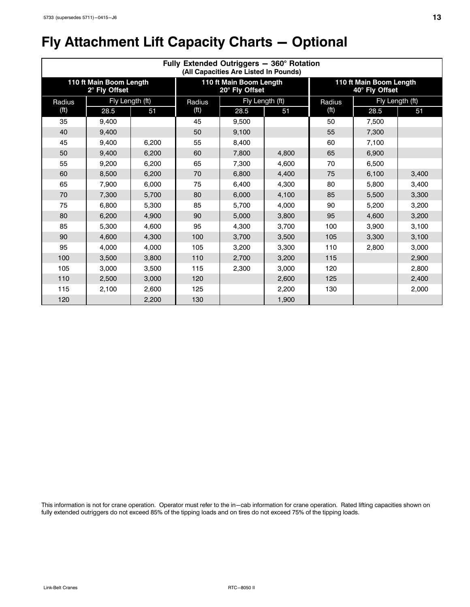<span id="page-16-0"></span>

| Fly Attachment Lift Capacity Charts - Optional |  |  |  |
|------------------------------------------------|--|--|--|
|------------------------------------------------|--|--|--|

| Fully Extended Outriggers - 360° Rotation<br>(All Capacities Are Listed In Pounds) |                                          |                 |                   |                                           |                 |                                           |       |                 |  |  |  |  |
|------------------------------------------------------------------------------------|------------------------------------------|-----------------|-------------------|-------------------------------------------|-----------------|-------------------------------------------|-------|-----------------|--|--|--|--|
|                                                                                    | 110 ft Main Boom Length<br>2° Fly Offset |                 |                   | 110 ft Main Boom Length<br>20° Fly Offset |                 | 110 ft Main Boom Length<br>40° Fly Offset |       |                 |  |  |  |  |
| Radius                                                                             |                                          | Fly Length (ft) | Radius            |                                           | Fly Length (ft) | Radius                                    |       | Fly Length (ft) |  |  |  |  |
| (f <sup>t</sup> )                                                                  | 28.5                                     | 51              | (f <sup>t</sup> ) | 28.5                                      | 51              | (f <sup>t</sup> )                         | 28.5  | 51              |  |  |  |  |
| 35                                                                                 | 9,400                                    |                 | 45                | 9,500                                     |                 | 50                                        | 7,500 |                 |  |  |  |  |
| 40                                                                                 | 9.400                                    |                 | 50                | 9.100                                     |                 | 55                                        | 7.300 |                 |  |  |  |  |
| 45                                                                                 | 9.400                                    | 6,200           | 55                | 8,400                                     |                 | 60                                        | 7,100 |                 |  |  |  |  |
| 50                                                                                 | 9.400                                    | 6,200           | 60                | 7.800                                     | 4.800           | 65                                        | 6,900 |                 |  |  |  |  |
| 55                                                                                 | 9,200                                    | 6.200           | 65                | 7,300                                     | 4.600           | 70                                        | 6,500 |                 |  |  |  |  |
| 60                                                                                 | 8.500                                    | 6.200           | 70                | 6.800                                     | 4.400           | 75                                        | 6,100 | 3,400           |  |  |  |  |
| 65                                                                                 | 7,900                                    | 6,000           | 75                | 6.400                                     | 4,300           | 80                                        | 5,800 | 3,400           |  |  |  |  |
| 70                                                                                 | 7.300                                    | 5,700           | 80                | 6,000                                     | 4,100           | 85                                        | 5,500 | 3,300           |  |  |  |  |
| 75                                                                                 | 6,800                                    | 5,300           | 85                | 5,700                                     | 4,000           | 90                                        | 5,200 | 3,200           |  |  |  |  |
| 80                                                                                 | 6,200                                    | 4,900           | 90                | 5,000                                     | 3,800           | 95                                        | 4,600 | 3,200           |  |  |  |  |
| 85                                                                                 | 5,300                                    | 4,600           | 95                | 4,300                                     | 3,700           | 100                                       | 3,900 | 3,100           |  |  |  |  |
| 90                                                                                 | 4,600                                    | 4,300           | 100               | 3,700                                     | 3,500           | 105                                       | 3,300 | 3,100           |  |  |  |  |
| 95                                                                                 | 4,000                                    | 4,000           | 105               | 3,200                                     | 3,300           | 110                                       | 2,800 | 3,000           |  |  |  |  |
| 100                                                                                | 3,500                                    | 3,800           | 110               | 2,700                                     | 3,200           | 115                                       |       | 2,900           |  |  |  |  |
| 105                                                                                | 3.000                                    | 3.500           | 115               | 2.300                                     | 3.000           | 120                                       |       | 2.800           |  |  |  |  |
| 110                                                                                | 2,500                                    | 3,000           | 120               |                                           | 2,600           | 125                                       |       | 2,400           |  |  |  |  |
| 115                                                                                | 2,100                                    | 2,600           | 125               |                                           | 2,200           | 130                                       |       | 2,000           |  |  |  |  |
| 120                                                                                |                                          | 2,200           | 130               |                                           | 1,900           |                                           |       |                 |  |  |  |  |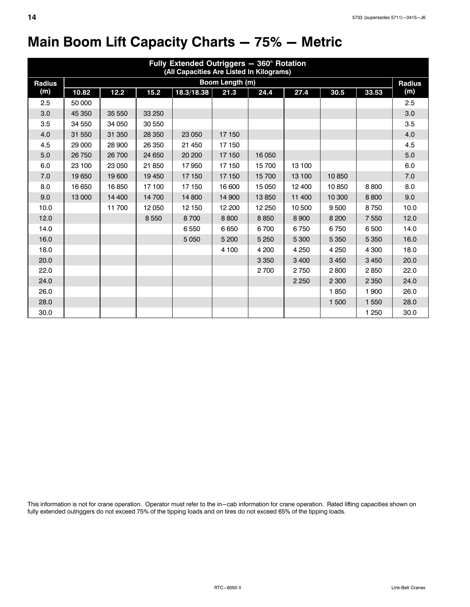# <span id="page-17-0"></span>**Main Boom Lift Capacity Charts - 75% - Metric**

|               | Fully Extended Outriggers - 360° Rotation<br>(All Capacities Are Listed In Kilograms) |        |        |            |                 |         |         |         |         |               |  |  |  |
|---------------|---------------------------------------------------------------------------------------|--------|--------|------------|-----------------|---------|---------|---------|---------|---------------|--|--|--|
| <b>Radius</b> |                                                                                       |        |        |            | Boom Length (m) |         |         |         |         | <b>Radius</b> |  |  |  |
| (m)           | 10.82                                                                                 | 12.2   | 15.2   | 18.3/18.38 | 21.3            | 24.4    | 27.4    | 30.5    | 33.53   | (m)           |  |  |  |
| 2.5           | 50 000                                                                                |        |        |            |                 |         |         |         |         | 2.5           |  |  |  |
| 3.0           | 45 350                                                                                | 35 550 | 33 250 |            |                 |         |         |         |         | 3.0           |  |  |  |
| 3.5           | 34 550                                                                                | 34 050 | 30 550 |            |                 |         |         |         |         | 3.5           |  |  |  |
| 4.0           | 31 550                                                                                | 31 350 | 28 350 | 23 050     | 17 150          |         |         |         |         | 4.0           |  |  |  |
| 4.5           | 29 000                                                                                | 28 900 | 26 350 | 21 450     | 17 150          |         |         |         |         | 4.5           |  |  |  |
| 5.0           | 26 750                                                                                | 26 700 | 24 650 | 20 200     | 17 150          | 16 050  |         |         |         | 5.0           |  |  |  |
| 6.0           | 23 100                                                                                | 23 050 | 21 850 | 17950      | 17 150          | 15700   | 13 100  |         |         | 6.0           |  |  |  |
| 7.0           | 19650                                                                                 | 19 600 | 19 450 | 17 150     | 17 150          | 15700   | 13 100  | 10850   |         | 7.0           |  |  |  |
| 8.0           | 16 650                                                                                | 16850  | 17 100 | 17 150     | 16 600          | 15 0 50 | 12 400  | 10850   | 8800    | 8.0           |  |  |  |
| 9.0           | 13 000                                                                                | 14 400 | 14 700 | 14 800     | 14 900          | 13850   | 11 400  | 10 300  | 8800    | 9.0           |  |  |  |
| 10.0          |                                                                                       | 11 700 | 12 050 | 12 150     | 12 200          | 12 250  | 10 500  | 9 500   | 8750    | 10.0          |  |  |  |
| 12.0          |                                                                                       |        | 8550   | 8700       | 8800            | 8850    | 8 9 0 0 | 8 200   | 7550    | 12.0          |  |  |  |
| 14.0          |                                                                                       |        |        | 6 5 5 0    | 6650            | 6700    | 6750    | 6750    | 6500    | 14.0          |  |  |  |
| 16.0          |                                                                                       |        |        | 5 0 5 0    | 5 200           | 5 2 5 0 | 5 300   | 5 3 5 0 | 5 3 5 0 | 16.0          |  |  |  |
| 18.0          |                                                                                       |        |        |            | 4 100           | 4 200   | 4 2 5 0 | 4 2 5 0 | 4 3 0 0 | 18.0          |  |  |  |
| 20.0          |                                                                                       |        |        |            |                 | 3 3 5 0 | 3 4 0 0 | 3 4 5 0 | 3 4 5 0 | 20.0          |  |  |  |
| 22.0          |                                                                                       |        |        |            |                 | 2700    | 2750    | 2800    | 2850    | 22.0          |  |  |  |
| 24.0          |                                                                                       |        |        |            |                 |         | 2 2 5 0 | 2 3 0 0 | 2 3 5 0 | 24.0          |  |  |  |
| 26.0          |                                                                                       |        |        |            |                 |         |         | 1850    | 1 900   | 26.0          |  |  |  |
| 28.0          |                                                                                       |        |        |            |                 |         |         | 1 500   | 1 5 5 0 | 28.0          |  |  |  |
| 30.0          |                                                                                       |        |        |            |                 |         |         |         | 1 250   | 30.0          |  |  |  |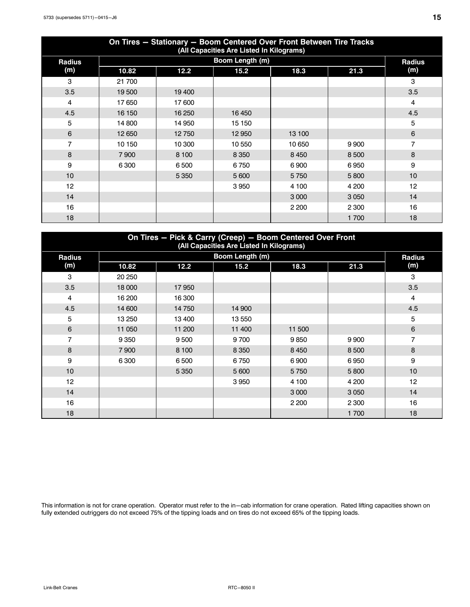<span id="page-18-0"></span>

| On Tires - Stationary - Boom Centered Over Front Between Tire Tracks<br>(All Capacities Are Listed In Kilograms) |         |         |                 |         |         |               |  |  |  |  |  |
|------------------------------------------------------------------------------------------------------------------|---------|---------|-----------------|---------|---------|---------------|--|--|--|--|--|
| <b>Radius</b>                                                                                                    |         |         | Boom Length (m) |         |         | <b>Radius</b> |  |  |  |  |  |
| (m)                                                                                                              | 10.82   | 12.2    | 15.2            | 18.3    | 21.3    | (m)           |  |  |  |  |  |
| 3                                                                                                                | 21 700  |         |                 |         |         | 3             |  |  |  |  |  |
| 3.5                                                                                                              | 19500   | 19 400  |                 |         |         | 3.5           |  |  |  |  |  |
| 4                                                                                                                | 17650   | 17 600  |                 |         |         | 4             |  |  |  |  |  |
| 4.5                                                                                                              | 16 150  | 16 250  | 16 450          |         |         | 4.5           |  |  |  |  |  |
| 5                                                                                                                | 14 800  | 14 950  | 15 150          |         |         | 5             |  |  |  |  |  |
| 6                                                                                                                | 12 650  | 12 750  | 12 950          | 13 100  |         | 6             |  |  |  |  |  |
| $\overline{7}$                                                                                                   | 10 150  | 10 300  | 10 550          | 10 650  | 9 9 0 0 | 7             |  |  |  |  |  |
| 8                                                                                                                | 7 9 0 0 | 8 1 0 0 | 8 3 5 0         | 8 4 5 0 | 8 5 0 0 | 8             |  |  |  |  |  |
| 9                                                                                                                | 6 300   | 6500    | 6750            | 6900    | 6950    | 9             |  |  |  |  |  |
| 10                                                                                                               |         | 5 3 5 0 | 5 600           | 5750    | 5800    | 10            |  |  |  |  |  |
| 12                                                                                                               |         |         | 3950            | 4 100   | 4 200   | 12            |  |  |  |  |  |
| 14                                                                                                               |         |         |                 | 3 0 0 0 | 3 0 5 0 | 14            |  |  |  |  |  |
| 16                                                                                                               |         |         |                 | 2 2 0 0 | 2 3 0 0 | 16            |  |  |  |  |  |
| 18                                                                                                               |         |         |                 |         | 1 700   | 18            |  |  |  |  |  |

| On Tires - Pick & Carry (Creep) - Boom Centered Over Front<br>(All Capacities Are Listed In Kilograms) |         |         |                 |         |         |                |  |  |  |  |  |
|--------------------------------------------------------------------------------------------------------|---------|---------|-----------------|---------|---------|----------------|--|--|--|--|--|
| <b>Radius</b>                                                                                          |         |         | Boom Length (m) |         |         | <b>Radius</b>  |  |  |  |  |  |
| (m)                                                                                                    | 10.82   | 12.2    | 15.2            | 18.3    | 21.3    | (m)            |  |  |  |  |  |
| 3                                                                                                      | 20 250  |         |                 |         |         | 3              |  |  |  |  |  |
| 3.5                                                                                                    | 18 000  | 17950   |                 |         |         | 3.5            |  |  |  |  |  |
| 4                                                                                                      | 16 200  | 16 300  |                 |         |         | 4              |  |  |  |  |  |
| 4.5                                                                                                    | 14 600  | 14 750  | 14 900          |         |         | 4.5            |  |  |  |  |  |
| 5                                                                                                      | 13 250  | 13 400  | 13 550          |         |         | 5              |  |  |  |  |  |
| 6                                                                                                      | 11 050  | 11 200  | 11 400          | 11 500  |         | 6              |  |  |  |  |  |
| 7                                                                                                      | 9 3 5 0 | 9500    | 9700            | 9850    | 9 9 0 0 | $\overline{7}$ |  |  |  |  |  |
| 8                                                                                                      | 7 9 0 0 | 8 1 0 0 | 8 3 5 0         | 8 4 5 0 | 8 500   | 8              |  |  |  |  |  |
| 9                                                                                                      | 6 3 0 0 | 6500    | 6750            | 6900    | 6950    | 9              |  |  |  |  |  |
| 10 <sup>1</sup>                                                                                        |         | 5 3 5 0 | 5 600           | 5750    | 5800    | 10             |  |  |  |  |  |
| 12                                                                                                     |         |         | 3950            | 4 100   | 4 200   | 12             |  |  |  |  |  |
| 14                                                                                                     |         |         |                 | 3 0 0 0 | 3 0 5 0 | 14             |  |  |  |  |  |
| 16                                                                                                     |         |         |                 | 2 2 0 0 | 2 3 0 0 | 16             |  |  |  |  |  |
| 18                                                                                                     |         |         |                 |         | 1 700   | 18             |  |  |  |  |  |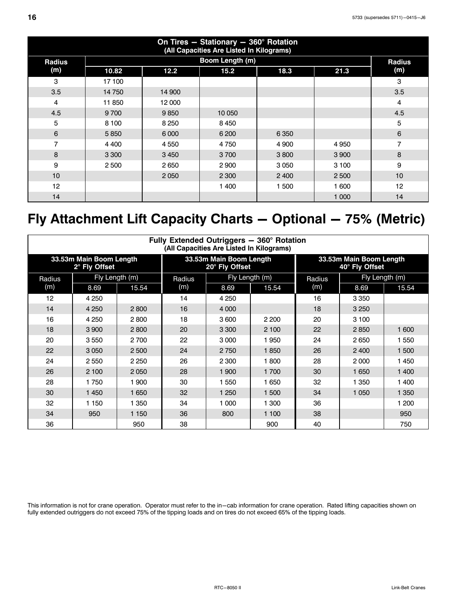<span id="page-19-0"></span>

| On Tires - Stationary - $360^\circ$ Rotation<br>(All Capacities Are Listed In Kilograms) |         |               |         |         |         |     |  |  |  |  |  |  |
|------------------------------------------------------------------------------------------|---------|---------------|---------|---------|---------|-----|--|--|--|--|--|--|
| <b>Radius</b>                                                                            |         | <b>Radius</b> |         |         |         |     |  |  |  |  |  |  |
| (m)                                                                                      | 10.82   | 12.2          | 15.2    | 18.3    | 21.3    | (m) |  |  |  |  |  |  |
| 3                                                                                        | 17 100  |               |         |         |         | 3   |  |  |  |  |  |  |
| 3.5                                                                                      | 14750   | 14 900        |         |         |         | 3.5 |  |  |  |  |  |  |
| 4                                                                                        | 11850   | 12 000        |         |         |         | 4   |  |  |  |  |  |  |
| 4.5                                                                                      | 9 700   | 9850          | 10 050  |         |         | 4.5 |  |  |  |  |  |  |
| 5                                                                                        | 8 1 0 0 | 8 2 5 0       | 8450    |         |         | 5   |  |  |  |  |  |  |
| 6                                                                                        | 5850    | 6 0 0 0       | 6 200   | 6 3 5 0 |         | 6   |  |  |  |  |  |  |
| 7                                                                                        | 4 4 0 0 | 4 5 5 0       | 4 7 5 0 | 4 9 0 0 | 4 9 5 0 | 7   |  |  |  |  |  |  |
| 8                                                                                        | 3 3 0 0 | 3450          | 3700    | 3800    | 3 9 0 0 | 8   |  |  |  |  |  |  |
| 9                                                                                        | 2 500   | 2650          | 2 9 0 0 | 3 0 5 0 | 3 100   | 9   |  |  |  |  |  |  |
| 10 <sup>1</sup>                                                                          |         | 2050          | 2 3 0 0 | 2 4 0 0 | 2 500   | 10  |  |  |  |  |  |  |
| 12                                                                                       |         |               | 1400    | 1 500   | 1 600   | 12  |  |  |  |  |  |  |
| 14                                                                                       |         |               |         |         | 1 000   | 14  |  |  |  |  |  |  |

### **Fly Attachment Lift Capacity Charts - Optional - 75% (Metric)**

|        | Fully Extended Outriggers - 360° Rotation<br>(All Capacities Are Listed In Kilograms) |         |        |                                           |                |                                           |         |                |  |  |  |  |  |  |
|--------|---------------------------------------------------------------------------------------|---------|--------|-------------------------------------------|----------------|-------------------------------------------|---------|----------------|--|--|--|--|--|--|
|        | 33.53m Main Boom Length<br>2° Fly Offset                                              |         |        | 33.53m Main Boom Length<br>20° Fly Offset |                | 33.53m Main Boom Length<br>40° Fly Offset |         |                |  |  |  |  |  |  |
| Radius | Fly Length (m)                                                                        |         | Radius |                                           | Fly Length (m) | Radius                                    |         | Fly Length (m) |  |  |  |  |  |  |
| (m)    | 8.69                                                                                  | 15.54   | (m)    | 8.69                                      | 15.54          | (m)                                       | 8.69    | 15.54          |  |  |  |  |  |  |
| 12     | 4 2 5 0                                                                               |         | 14     | 4 2 5 0                                   |                | 16                                        | 3 3 5 0 |                |  |  |  |  |  |  |
| 14     | 4 2 5 0                                                                               | 2800    | 16     | 4 0 0 0                                   |                | 18                                        | 3 2 5 0 |                |  |  |  |  |  |  |
| 16     | 4 2 5 0                                                                               | 2800    | 18     | 3600                                      | 2 2 0 0        | 20                                        | 3 100   |                |  |  |  |  |  |  |
| 18     | 3 9 0 0                                                                               | 2800    | 20     | 3 3 0 0                                   | 2 100          | 22                                        | 2850    | 1 600          |  |  |  |  |  |  |
| 20     | 3550                                                                                  | 2 700   | 22     | 3 0 0 0                                   | 1950           | 24                                        | 2650    | 1 550          |  |  |  |  |  |  |
| 22     | 3 0 5 0                                                                               | 2 5 0 0 | 24     | 2750                                      | 1850           | 26                                        | 2 4 0 0 | 500            |  |  |  |  |  |  |
| 24     | 2 5 5 0                                                                               | 2 2 5 0 | 26     | 2 3 0 0                                   | 1800           | 28                                        | 2000    | 1450           |  |  |  |  |  |  |
| 26     | 2 100                                                                                 | 2050    | 28     | 1 900                                     | 1 700          | 30                                        | 1 650   | 1 400          |  |  |  |  |  |  |
| 28     | 1750                                                                                  | 1 900   | 30     | 1550                                      | 1650           | 32                                        | 1 350   | 1400           |  |  |  |  |  |  |
| 30     | 1 450                                                                                 | 1 650   | 32     | 1 250                                     | 1 500          | 34                                        | 1 0 5 0 | 1 350          |  |  |  |  |  |  |
| 32     | 1 1 5 0                                                                               | 1 350   | 34     | 1 000                                     | 1 300          | 36                                        |         | 1 200          |  |  |  |  |  |  |
| 34     | 950                                                                                   | 1 1 5 0 | 36     | 800                                       | 1 100          | 38                                        |         | 950            |  |  |  |  |  |  |
| 36     |                                                                                       | 950     | 38     |                                           | 900            | 40                                        |         | 750            |  |  |  |  |  |  |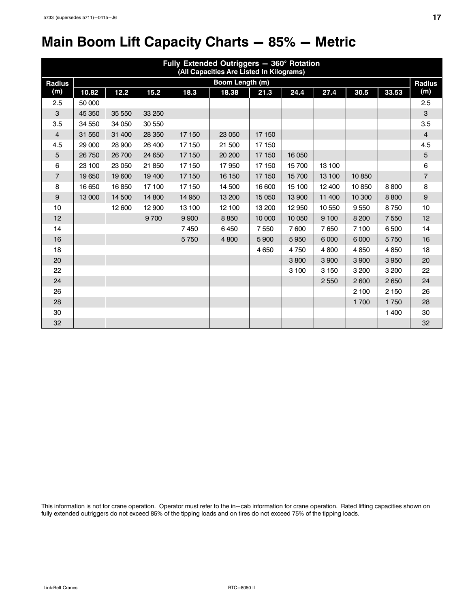# <span id="page-20-0"></span>**Main Boom Lift Capacity Charts - 85% - Metric**

| Fully Extended Outriggers - 360° Rotation<br>(All Capacities Are Listed In Kilograms) |        |        |        |         |                 |         |         |         |         |         |                |  |
|---------------------------------------------------------------------------------------|--------|--------|--------|---------|-----------------|---------|---------|---------|---------|---------|----------------|--|
| <b>Radius</b>                                                                         |        |        |        |         | Boom Length (m) |         |         |         |         |         | <b>Radius</b>  |  |
| (m)                                                                                   | 10.82  | 12.2   | 15.2   | 18.3    | 18.38           | 21.3    | 24.4    | 27.4    | 30.5    | 33.53   | (m)            |  |
| 2.5                                                                                   | 50 000 |        |        |         |                 |         |         |         |         |         | 2.5            |  |
| 3                                                                                     | 45 350 | 35 550 | 33 250 |         |                 |         |         |         |         |         | 3              |  |
| 3.5                                                                                   | 34 550 | 34 050 | 30 550 |         |                 |         |         |         |         |         | 3.5            |  |
| $\overline{4}$                                                                        | 31 550 | 31 400 | 28 350 | 17 150  | 23 050          | 17 150  |         |         |         |         | $\overline{4}$ |  |
| 4.5                                                                                   | 29 000 | 28 900 | 26 400 | 17 150  | 21 500          | 17 150  |         |         |         |         | 4.5            |  |
| 5                                                                                     | 26 750 | 26 700 | 24 650 | 17 150  | 20 200          | 17 150  | 16 0 50 |         |         |         | $\overline{5}$ |  |
| 6                                                                                     | 23 100 | 23 050 | 21 850 | 17 150  | 17950           | 17 150  | 15700   | 13 100  |         |         | 6              |  |
| $\overline{7}$                                                                        | 19650  | 19600  | 19 400 | 17 150  | 16 150          | 17 150  | 15700   | 13 100  | 10850   |         | $\overline{7}$ |  |
| 8                                                                                     | 16 650 | 16850  | 17 100 | 17 150  | 14 500          | 16 600  | 15 100  | 12 400  | 10850   | 8800    | 8              |  |
| 9                                                                                     | 13 000 | 14 500 | 14 800 | 14 950  | 13 200          | 15 0 50 | 13 900  | 11 400  | 10 300  | 8800    | 9              |  |
| 10                                                                                    |        | 12 600 | 12 900 | 13 100  | 12 100          | 13 200  | 12 950  | 10 550  | 9550    | 8750    | 10             |  |
| 12                                                                                    |        |        | 9700   | 9 9 0 0 | 8850            | 10 000  | 10 050  | 9 100   | 8 200   | 7550    | 12             |  |
| 14                                                                                    |        |        |        | 7450    | 6450            | 7550    | 7600    | 7650    | 7 100   | 6500    | 14             |  |
| 16                                                                                    |        |        |        | 5750    | 4 800           | 5 9 0 0 | 5950    | 6 0 0 0 | 6 0 0 0 | 5750    | 16             |  |
| 18                                                                                    |        |        |        |         |                 | 4650    | 4750    | 4800    | 4850    | 4850    | 18             |  |
| 20                                                                                    |        |        |        |         |                 |         | 3800    | 3 9 0 0 | 3 9 0 0 | 3950    | 20             |  |
| 22                                                                                    |        |        |        |         |                 |         | 3 100   | 3 1 5 0 | 3 200   | 3 200   | 22             |  |
| 24                                                                                    |        |        |        |         |                 |         |         | 2 5 5 0 | 2600    | 2650    | 24             |  |
| 26                                                                                    |        |        |        |         |                 |         |         |         | 2 100   | 2 1 5 0 | 26             |  |
| 28                                                                                    |        |        |        |         |                 |         |         |         | 1700    | 1750    | 28             |  |
| 30                                                                                    |        |        |        |         |                 |         |         |         |         | 1 400   | 30             |  |
| 32                                                                                    |        |        |        |         |                 |         |         |         |         |         | 32             |  |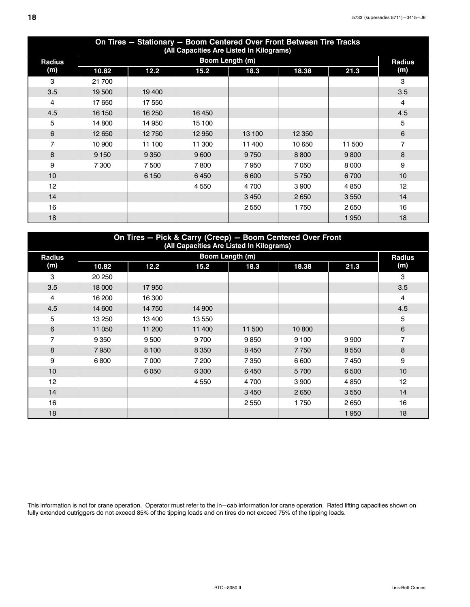<span id="page-21-0"></span>

| On Tires - Stationary - Boom Centered Over Front Between Tire Tracks<br>(All Capacities Are Listed In Kilograms) |                 |         |         |         |         |         |     |  |  |  |  |  |
|------------------------------------------------------------------------------------------------------------------|-----------------|---------|---------|---------|---------|---------|-----|--|--|--|--|--|
| <b>Radius</b>                                                                                                    | Boom Length (m) |         |         |         |         |         |     |  |  |  |  |  |
| (m)                                                                                                              | 10.82           | 12.2    | 15.2    | 18.3    | 18.38   | 21.3    | (m) |  |  |  |  |  |
| 3                                                                                                                | 21 700          |         |         |         |         |         | 3   |  |  |  |  |  |
| 3.5                                                                                                              | 19 500          | 19 400  |         |         |         |         | 3.5 |  |  |  |  |  |
| 4                                                                                                                | 17650           | 17 550  |         |         |         |         | 4   |  |  |  |  |  |
| 4.5                                                                                                              | 16 150          | 16 250  | 16 450  |         |         |         | 4.5 |  |  |  |  |  |
| 5                                                                                                                | 14 800          | 14 950  | 15 100  |         |         |         | 5   |  |  |  |  |  |
| 6                                                                                                                | 12 650          | 12750   | 12 950  | 13 100  | 12 3 50 |         | 6   |  |  |  |  |  |
| $\overline{7}$                                                                                                   | 10 900          | 11 100  | 11 300  | 11 400  | 10 650  | 11 500  | 7   |  |  |  |  |  |
| 8                                                                                                                | 9 1 5 0         | 9 3 5 0 | 9600    | 9750    | 8800    | 9800    | 8   |  |  |  |  |  |
| 9                                                                                                                | 7 300           | 7 500   | 7800    | 7950    | 7050    | 8 0 0 0 | 9   |  |  |  |  |  |
| 10                                                                                                               |                 | 6 1 5 0 | 6450    | 6 600   | 5750    | 6700    | 10  |  |  |  |  |  |
| 12                                                                                                               |                 |         | 4 5 5 0 | 4 700   | 3 9 0 0 | 4850    | 12  |  |  |  |  |  |
| 14                                                                                                               |                 |         |         | 3 4 5 0 | 2650    | 3550    | 14  |  |  |  |  |  |
| 16                                                                                                               |                 |         |         | 2 5 5 0 | 1750    | 2650    | 16  |  |  |  |  |  |
| 18                                                                                                               |                 |         |         |         |         | 1950    | 18  |  |  |  |  |  |

| On Tires - Pick & Carry (Creep) - Boom Centered Over Front<br>(All Capacities Are Listed In Kilograms) |         |                        |         |         |         |         |                |  |  |  |  |  |
|--------------------------------------------------------------------------------------------------------|---------|------------------------|---------|---------|---------|---------|----------------|--|--|--|--|--|
| <b>Radius</b>                                                                                          |         | <b>Boom Length (m)</b> |         |         |         |         |                |  |  |  |  |  |
| (m)                                                                                                    | 10.82   | 12.2                   | 15.2    | 18.3    | 18.38   | 21.3    | (m)            |  |  |  |  |  |
| 3                                                                                                      | 20 250  |                        |         |         |         |         | 3              |  |  |  |  |  |
| 3.5                                                                                                    | 18 000  | 17950                  |         |         |         |         | 3.5            |  |  |  |  |  |
| 4                                                                                                      | 16 200  | 16 300                 |         |         |         |         | 4              |  |  |  |  |  |
| 4.5                                                                                                    | 14 600  | 14750                  | 14 900  |         |         |         | 4.5            |  |  |  |  |  |
| 5                                                                                                      | 13 250  | 13 400                 | 13 550  |         |         |         | 5              |  |  |  |  |  |
| 6                                                                                                      | 11 050  | 11 200                 | 11 400  | 11 500  | 10 800  |         | 6              |  |  |  |  |  |
| $\overline{7}$                                                                                         | 9 3 5 0 | 9 500                  | 9700    | 9850    | 9 100   | 9 9 0 0 | $\overline{7}$ |  |  |  |  |  |
| 8                                                                                                      | 7950    | 8 100                  | 8 3 5 0 | 8 4 5 0 | 7750    | 8550    | 8              |  |  |  |  |  |
| 9                                                                                                      | 6800    | 7 0 0 0                | 7 200   | 7 3 5 0 | 6600    | 7450    | 9              |  |  |  |  |  |
| 10                                                                                                     |         | 6050                   | 6 3 0 0 | 6450    | 5700    | 6 500   | 10             |  |  |  |  |  |
| 12                                                                                                     |         |                        | 4 5 5 0 | 4 700   | 3 9 0 0 | 4850    | 12             |  |  |  |  |  |
| 14                                                                                                     |         |                        |         | 3 4 5 0 | 2650    | 3550    | 14             |  |  |  |  |  |
| 16                                                                                                     |         |                        |         | 2 5 5 0 | 1750    | 2650    | 16             |  |  |  |  |  |
| 18                                                                                                     |         |                        |         |         |         | 1950    | 18             |  |  |  |  |  |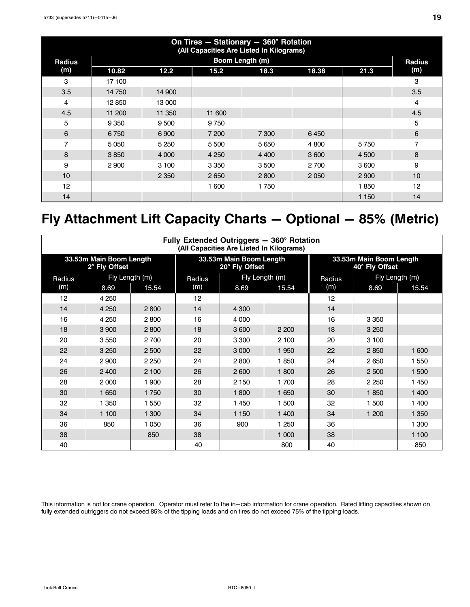<span id="page-22-0"></span>

| On Tires $-$ Stationary $-$ 360 $\degree$ Rotation<br>(All Capacities Are Listed In Kilograms) |                 |         |         |         |         |         |                |  |  |  |  |  |
|------------------------------------------------------------------------------------------------|-----------------|---------|---------|---------|---------|---------|----------------|--|--|--|--|--|
| <b>Radius</b>                                                                                  | Boom Length (m) |         |         |         |         |         |                |  |  |  |  |  |
| (m)                                                                                            | 10.82           | 12.2    | 15.2    | 18.3    | 18.38   | 21.3    | (m)            |  |  |  |  |  |
| 3                                                                                              | 17 100          |         |         |         |         |         | 3              |  |  |  |  |  |
| 3.5                                                                                            | 14750           | 14 900  |         |         |         |         | 3.5            |  |  |  |  |  |
| 4                                                                                              | 12850           | 13 000  |         |         |         |         | 4              |  |  |  |  |  |
| 4.5                                                                                            | 11 200          | 11 350  | 11 600  |         |         |         | 4.5            |  |  |  |  |  |
| 5                                                                                              | 9 3 5 0         | 9500    | 9750    |         |         |         | 5              |  |  |  |  |  |
| 6                                                                                              | 6750            | 6900    | 7 200   | 7 300   | 6450    |         | 6              |  |  |  |  |  |
| $\overline{7}$                                                                                 | 5050            | 5 2 5 0 | 5 500   | 5 6 5 0 | 4 8 0 0 | 5750    | $\overline{7}$ |  |  |  |  |  |
| 8                                                                                              | 3850            | 4 0 0 0 | 4 2 5 0 | 4 4 0 0 | 3600    | 4 500   | 8              |  |  |  |  |  |
| 9                                                                                              | 2 9 0 0         | 3 100   | 3 3 5 0 | 3500    | 2 700   | 3600    | 9              |  |  |  |  |  |
| 10                                                                                             |                 | 2 3 5 0 | 2650    | 2800    | 2050    | 2 9 0 0 | 10             |  |  |  |  |  |
| 12                                                                                             |                 |         | 1 600   | 1750    |         | 1850    | 12             |  |  |  |  |  |
| 14                                                                                             |                 |         |         |         |         | 1 1 5 0 | 14             |  |  |  |  |  |

### **Fly Attachment Lift Capacity Charts - Optional - 85% (Metric)**

| Fully Extended Outriggers - 360° Rotation<br>(All Capacities Are Listed In Kilograms) |                  |         |                                           |                |         |                                           |                |         |
|---------------------------------------------------------------------------------------|------------------|---------|-------------------------------------------|----------------|---------|-------------------------------------------|----------------|---------|
| 33.53m Main Boom Length<br>2° Fly Offset                                              |                  |         | 33.53m Main Boom Length<br>20° Fly Offset |                |         | 33.53m Main Boom Length<br>40° Fly Offset |                |         |
| Radius                                                                                | Fly Length $(m)$ |         | Radius                                    | Fly Length (m) |         | Radius                                    | Fly Length (m) |         |
| (m)                                                                                   | 8.69             | 15.54   | (m)                                       | 8.69           | 15.54   | (m)                                       | 8.69           | 15.54   |
| 12                                                                                    | 4 2 5 0          |         | 12                                        |                |         | 12                                        |                |         |
| 14                                                                                    | 4 2 5 0          | 2800    | 14                                        | 4 3 0 0        |         | 14                                        |                |         |
| 16                                                                                    | 4 2 5 0          | 2800    | 16                                        | 4 0 0 0        |         | 16                                        | 3 3 5 0        |         |
| 18                                                                                    | 3 9 0 0          | 2800    | 18                                        | 3600           | 2 2 0 0 | 18                                        | 3 2 5 0        |         |
| 20                                                                                    | 3550             | 2 700   | 20                                        | 3 3 0 0        | 2 100   | 20                                        | 3 100          |         |
| 22                                                                                    | 3 2 5 0          | 2 5 0 0 | 22                                        | 3 0 0 0        | 1950    | 22                                        | 2850           | 1 600   |
| 24                                                                                    | 2 9 0 0          | 2 2 5 0 | 24                                        | 2800           | 1850    | 24                                        | 2650           | 1 550   |
| 26                                                                                    | 2 4 0 0          | 2 100   | 26                                        | 2600           | 1800    | 26                                        | 2 500          | 1 500   |
| 28                                                                                    | 2000             | 1 900   | 28                                        | 2 1 5 0        | 1 700   | 28                                        | 2 2 5 0        | 1 450   |
| 30                                                                                    | 1650             | 1750    | 30                                        | 1800           | 1 650   | 30                                        | 1850           | 1 400   |
| 32                                                                                    | 1 350            | 1 550   | 32                                        | 1 450          | 1 500   | 32                                        | 1 500          | 1 400   |
| 34                                                                                    | 1 100            | 1 300   | 34                                        | 1 1 5 0        | 1 400   | 34                                        | 1 200          | 1 3 5 0 |
| 36                                                                                    | 850              | 1 0 5 0 | 36                                        | 900            | 1 2 5 0 | 36                                        |                | 1 300   |
| 38                                                                                    |                  | 850     | 38                                        |                | 1 0 0 0 | 38                                        |                | 1 100   |
| 40                                                                                    |                  |         | 40                                        |                | 800     | 40                                        |                | 850     |